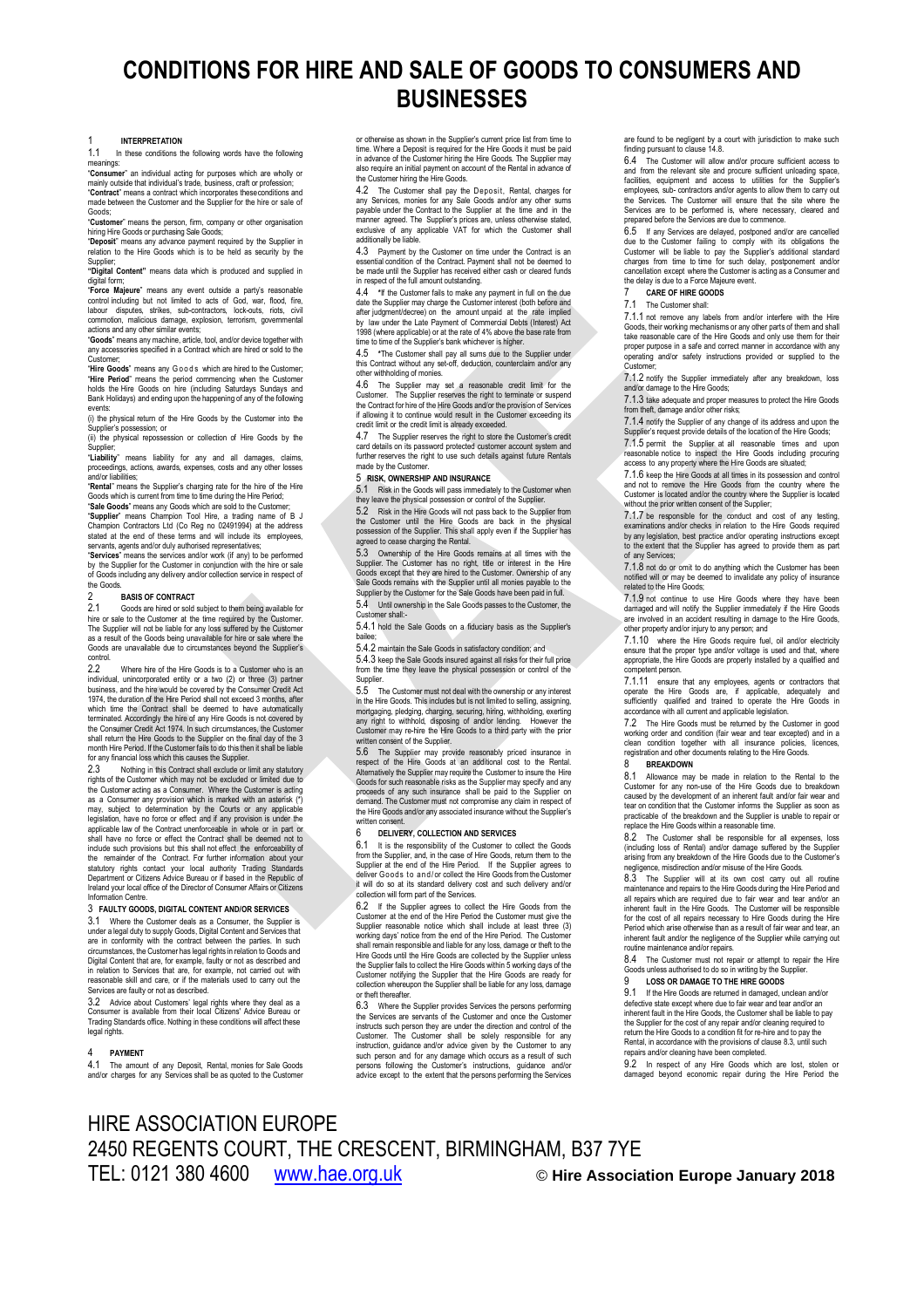# **CONDITIONS FOR HIRE AND SALE OF GOODS TO CONSUMERS AND BUSINESSES**

1 **INTERPRETATION** In these conditions the following words have the following

meanings:<br>Consume "**Consumer**" an individual acting for purposes which are wholly or mainly outside that individual's trade, business, craft or profession; "**Contract**" means a contract which incorporates theseconditions and

made between the Customer and the Supplier for the hire or sale of Goods; "**Customer**" means the person, firm, company or other organisation

hiring Hire Goods or purchasing Sale Goods; "**Deposit**" means any advance payment required by the Supplier in

relation to the Hire Goods which is to be held as security by the Supplier; **"Digital Content"** means data which is produced and supplied in

digital form:

"**Force Majeure**" means any event outside a party's reasonable control including but not limited to acts of God, war, flood, fire, labour disputes, strikes, sub-contractors, lock-outs, riots, civil commotion, malicious damage, explosion, terrorism, governmental<br>actions and any other similar events;<br>**"Goods**" means any machine, article, tool, and/or device together with<br>any accessories specified in a Contract which ar

Customer;<br>**"Hire Goods**" means any Goods which are hired to the Customer;<br>"**Hire Period**" means the period commencing when the Customer<br>holds the Hire Goods on hire (including Saturdays Sundays and Bank Holidays) and ending upon the happening of any of the following

events: (i) the physical return of the Hire Goods by the Customer into the Supplier's possession; or

(ii) the physical repossession or collection of Hire Goods by the

Supplier;<br>**"Liability**" means liability for any and all damages, claims,<br>proceedings, actions, awards, expenses, costs and any other losses<br>and/or·liabilities;

"**Rental**" means the Supplier's charging rate for the hire of the Hire Goods which is current from time to time during the Hire Period; "**Sale Goods**" means any Goods which are sold to the Customer;

"Supplier" means Champion Tool Hire, a trading name of B J<br>Champion Contractors Ltd (Co Reg no 02491994) at the address<br>stated at the end of these terms and will include its employees,<br>servants, agents and/or duly authoris

"**Services**" means the services and/or work (if any) to be performed by the Supplier for the Customer in conjunction with the hire or sale of Goods including any delivery and/or collection service in respect of

### the Goods 2 **BASIS OF CONTRACT**

2.1 Goods are hired or sold subject to them being available for hire or sale to the Customer at the time required by the Customer. The Supplier will not be liable for any loss suffered by the Customer as a result of the Goods being unavailable for hire or sale where the Goods are unavailable due to circumstances beyond the Supplier's control

2.2 Where hire of the Hire Goods is to a Customer who is an endividual unincorporated entity or a two (2) or three (3) partner individual, unincorporated entity or a two (2) or three (3) partner business, and the hire would be covered by the Consumer Credit Act 1974, the duration of the Hire Period shall not exceed 3 months, after which time the Contract shall be deemed to have automatically terminated. Accordingly the hire of any Hire Goods is not covered by the Consumer Credit Act 1974. In such circumstances, the Customer shall return the Hire Goods to the Supplier on the final day of the 3 month Hire Period. If the Customer fails to do this then it shall be liable for any financial loss which this causes the Supplier.

2.3 Nothing in this Contract shall exclude or limit any statutory<br>rights of the Customer which may not be excluded or limited due to<br>the Customer acting as a Consumer. Where the Customer is acting<br>as a Consumer any provisi may, subject to determination by the Courts or any applicable legislation, have no force or effect and if any provision is under the applicable law of the Contract unenforceable in whole or in part or shall have no force or effect the Contract shall be deemed not to include such provisions but this shall not effect, the enforceability of<br>the remainder of the Contract. For further information about your<br>statutory rights contact your local authority Trading Standards<br>Department or Citiz Ireland your local office of the Director of Consumer Affairs or Citizens oar rooa<br>Inn Centr

### 3 **FAULTY GOODS, DIGITAL CONTENT AND/OR SERVICES**

3.1 Where the Customer deals as a Consumer, the Supplier is under a legal duty to supply Goods, Digital Content and Services that are in conformity with the contract between the parties. In such circumstances, the Customer has legal rights in relation to Goods and Digital Content that are, for example, faulty or not as described and in relation to Services that are, for example, not carried out with reasonable skill and care, or if the materials used to carry out the Services are faulty or not as described.

3.2 Advice about Customers' legal rights where they deal as a Consumer is available from their local Citizens' Advice Bureau or Trading Standards office. Nothing in these conditions will affect these legal rights.

### 4 **PAYMENT**

The amount of any Deposit, Rental, monies for Sale Goods and/or charges for any Services shall be as quoted to the Customer

or otherwise as shown in the Supplier's current price list from time to time. Where a Deposit is required for the Hire Goods it must be paid in advance of the Customer hiring the Hire Goods. The Supplier may also require an initial payment on account of the Rental in advance of the Customer hiring the Hire Goods.

<span id="page-0-1"></span>4.2 The Customer shall pay the Deposit, Rental, charges for any Services, monies for any Sale Goods and/or any other sums payable under the Contract to the Supplier at the time and in the manner agreed. The Supplier's prices are, unless otherwise stated exclusive of any applicable VAT for which the Customer shall additionally be liable.

4.3 Payment by the Customer on time under the Contract is an essential condition of the Contract. Payment shall not be deemed to be made until the Supplier has received either cash or cleared funds in respect of the full amount outstanding.

<span id="page-0-2"></span>4.4 **\***If the Customer fails to make any payment in full on the due date the Supplier may charge the Customer interest (both before and after judgment/decree) on the amount unpaid at the rate implied by law under the Late Payment of Commercial Debts (Interest) Act 1998 (where applicable) or at the rate of 4% above the base rate from

<span id="page-0-3"></span>time to time of the Supplier's bank whichever is higher.<br>4.5 \*The Customer shall pay all sums due to the 4.5 **\***The Customer shall pay all sums due to the Supplier under this Contract without any set-off, deduction, counterclaim and/or any other withholding of monies.

4.6 The Supplier may set a reasonable credit limit for the Customer. The Supplier reserves the right to terminate or suspend the Contract for hire Gondard of the Hire Goods and/or the provision of Services if allowing it t

4.7 The Supplier reserves the right to store the Customer's credit card details on its password protected customer account system and further reserves the right to use such details against future Rentals made by the Custome

### 5 **RISK, OWNERSHIP AND INSURANCE**

5.1 Risk in the Goods will pass immediately to the Customer when they leave the physical possession or control of the Supplier.

5.2 Risk in the Hire Goods will not pass back to the Supplier from the Customer until the Hire Goods are back in the physical possession of the Supplier. This shall apply even if the Supplier has agreed to cease charging the Rental.

5.3 Ownership of the Hire Goods remains at all times with the Supplier. The Customer has no right, title or interest in the Hire Goods except that they are hired to the Customer. Ownership of any Sale Goods remains with the Supplier until all monies payable to the Supplier by the Customer for the Sale Goods have been paid in full.

5.4 Until ownership in the Sale Goods passes to the Customer, the Customer shall:- 5.4.1 hold the Sale Goods on a fiduciary basis as the Supplier's

bailee; 5.4.2 maintain the Sale Goods in satisfactory condition; and

5.4.3 keep the Sale Goods insured against all risks for their full price from the time they leave the physical possession or control of the

Supplier. 5.5 The Customer must not deal with the ownership or any interest in the Hire Goods. This includes but is not limited to selling, assigning, mortgaging, pledging, charging, securing, hiring, withholding, exerting any right to withhold, disposing of and/or lending. However the Customer may re-hire the Hire Goods to a third party with the prior ritten consent of the Supplier

5.6 The Supplier may provide reasonably priced insurance in respect of the Hire Goods at an additional cost to the Rental.<br>Alternatively the Supplier may require the Customer to insure the Hire<br>Alternatively the Supplier m proceeds of any such insurance shall be paid to the Supplier on demand. The Customer must not compromise any claim in respect of the Hire Goods and/or any associated insurance without the Supplier's written consent.

### 6 **DELIVERY, COLLECTION AND SERVICES**

6.1 It is the responsibility of the Customer to collect the Goods from the Supplier, and, in the case of Hire Goods, return them to the Supplier at the end of the Hire Period. If the Supplier agrees to deliver Goods to and/or collect the Hire Goods from the Customer<br>it will do so at its standard delivery cost and such delivery and/or collection will form part of the Services.

6.2 If the Supplier agrees to collect the Hire Goods from the Customer at the end of the Hire Period the Customer must give the Supplier reasonable notice which shall include at least three (3) working days' notice from the end of the Hire Period. The Customer shall remain responsible and liable for any loss, damage or theft to the Hire Goods until the Hire Goods are collected by the Supplier unless the Supplier fails to collect the Hire Goods within 5 working days of the Customer notifying the Supplier that the Hire Goods are ready for collection whereupon the Supplier shall be liable for any loss, damage or theft thereafter.

6.3 Where the Supplier provides Services the persons performing the Services are servants of the Customer and once the Customer instructs such person they are under the direction and control of the<br>Customer. The Customer shall be solely responsible for any Customer. The Customer shall be solely responsible for any<br>instruction, guidance and/or advice given by the Customer to any<br>such person and for any damage which occurs as a result of such<br>persons following the Customer's i advice except to the extent that the persons performing the Services

are found to be negligent by a court with jurisdiction to make such finding pursuant to claus[e 14.8.](#page-1-0)

6.4 The Customer will allow and/or procure sufficient access to and from the relevant site and procure sufficient unloading space, facilities, equipment and access to utilities for the Supplier's employees, sub- contractors and/or agents to allow them to carry out<br>the Services. The Customer will ensure that the site where the<br>Services are to be performed is, where necessary, cleared and<br>prepared before the Services

6.5 If any Services are delayed, postponed and/or are cancelled due to the Customer failing to comply with its obligations the Customer will be liable to pay the Supplier's additional standard charges from time to time for such delay, postponement and/or cancellation except where the Customer is acting as a Consumer and the delay is due to a Force Majeure event.

### <span id="page-0-4"></span>7 **CARE OF HIRE GOODS**

### The Customer shall

7.1.1 not remove any labels from and/or interfere with the Hire Goods, their working mechanisms or any other parts of them and shall take reasonable care of the Hire Goods and only use them for their proper purpose in a safe and correct manner in accordance with any and/or safety instructions provided or supplied to the Customer;

7.1.2 notify the Supplier immediately after any breakdown, loss and/or damage to the Hire Goods;

7.1.3 take adequate and proper measures to protect the Hire Goods from theft, damage and/or other risks;

7.1.4 notify the Supplier of any change of its address and upon the Supplier's request provide details of the location of the Hire Goods; 7.1.5 permit the Supplier at all reasonable times and upon reasonable notice to inspect the Hire Goods including procuring access to any property where the Hire Goods are situated;

7.1.6 keep the Hire Goods at all times in its possession and control and not to remove the Hire Goods from the country where the Customer is located and/or the country where the Supplier is located without the prior written consent of the Supplier;

7.1.7 be responsible for the conduct and cost of any testing, examinations and/or checks in relation to the Hire Goods required by any legislation, best practice and/or operating instructions except to the extent that the Supplier has agreed to provide them as part of any Services;

7.1.8 not do or omit to do anything which the Customer has been notified will or may be deemed to invalidate any policy of insurance related to the Hire Goods;

7.1.9 not continue to use Hire Goods where they have been damaged and will notify the Supplier immediately if the Hire Goods are involved in an accident resulting in damage to the Hire Goods, other property and/or injury to any person; and

7.1.10 where the Hire Goods require fuel, oil and/or electricity ensure that the proper type and/or voltage is used and that, where appropriate, the Hire Goods are properly installed by a qualified and competent person.

7.1.11 ensure that any employees, agents or contractors that operate the Hire Goods are, if applicable, adequately and sufficiently qualified and trained to operate the Hire Goods in accordance with all current and applicable legislation.

7.2 The Hire Goods must be returned by the Customer in good working order and condition (fair wear and tear excepted) and in a clean condition together with all insurance policies, licences, registration and other documents relating to the Hire Goods.

### 8 **BREAKDOWN**

<span id="page-0-5"></span>8.1 Allowance may be made in relation to the Rental to the Customer for any non-use of the Hire Goods due to breakdown<br>caused by the development of an inherent fault and/or fair wear and<br>tear on condition that the Customer informs the Supplier as soon as<br>practicable of the breakdo

The Customer shall be responsible for all expenses, loss (including loss of Rental) and/or damage suffered by the Supplier arising from any breakdown of the Hire Goods due to the Customer's negligence, misdirection and/or misuse of the Hire Goods.

8.3 The Supplier will at its own cost carry out all routine maintenance and repairs to the Hire Goods during the Hire Period and all repairs which are required due to fair wear and tear and/or an inherent fault in the Hire Goods. The Customer will be responsible for the cost of all repairs necessary to Hire Goods during the Hire<br>Period which arise otherwise than as a result of fair wear and tear, an<br>inherent fault and/or the negligence of the Supplier while carrying out<br>routine ma

8.4 The Customer must not repair or attempt to repair the Hire Goods unless authorised to do so in writing by the Supplier.<br>Q COS OR DAMAGE TO THE HIPE COODS

### 9 **LOSS OR DAMAGE TO THE HIRE GOODS**

<span id="page-0-6"></span>9.1 If the Hire Goods are returned in damaged, unclean and/or defective state except where due to fair wear and tear and/or an inherent fault in the Hire Goods, the Customer shall be liable to pay the Supplier for the cost of any repair and/or cleaning required to return the Hire Goods to a condition fit for re-hire and to pay the Rental, in accordance with the provisions of clause 8.3, until such repairs and/or cleaning have been completed.

<span id="page-0-0"></span>9.2 In respect of any Hire Goods which are lost, stolen or damaged beyond economic repair during the Hire Period the

## HIRE ASSOCIATION EUROPE 2450 REGENTS COURT, THE CRESCENT, BIRMINGHAM, B37 7YE TEL: 0121 380 4600 [www.hae.org.uk](http://www.hae.org.uk/) © **Hire Association Europe January 2018**